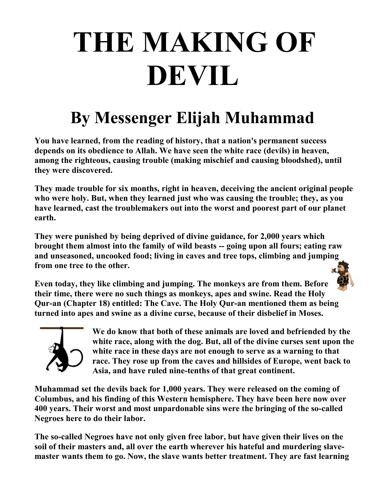## **THE MAKING OF DEVIL**

## **By Messenger Elijah Muhammad**

**You have learned, from the reading of history, that a nation's permanent success depends on its obedience to Allah. We have seen the white race (devils) in heaven, among the righteous, causing trouble (making mischief and causing bloodshed), until they were discovered.**

**They made trouble for six months, right in heaven, deceiving the ancient original people who were holy. But, when they learned just who was causing the trouble; they, as you have learned, cast the troublemakers out into the worst and poorest part of our planet earth.**

**They were punished by being deprived of divine guidance, for 2,000 years which brought them almost into the family of wild beasts -- going upon all fours; eating raw and unseasoned, uncooked food; living in caves and tree tops, climbing and jumping from one tree to the other.**

**Even today, they like climbing and jumping. The monkeys are from them. Before their time, there were no such things as monkeys, apes and swine. Read the Holy Qur-an (Chapter 18) entitled: The Cave. The Holy Qur-an mentioned them as being turned into apes and swine as a divine curse, because of their disbelief in Moses.**



**We do know that both of these animals are loved and befriended by the white race, along with the dog. But, all of the divine curses sent upon the white race in these days are not enough to serve as a warning to that race. They rose up from the caves and hillsides of Europe, went back to Asia, and have ruled nine-tenths of that great continent.**

**Muhammad set the devils back for 1,000 years. They were released on the coming of Columbus, and his finding of this Western hemisphere. They have been here now over 400 years. Their worst and most unpardonable sins were the bringing of the so-called Negroes here to do their labor.**

**The so-called Negroes have not only given free labor, but have given their lives on the soil of their masters and, all over the earth wherever his hateful and murdering slavemaster wants them to go. Now, the slave wants better treatment. They are fast learning**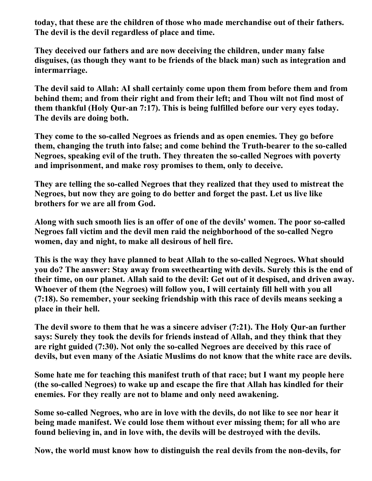**today, that these are the children of those who made merchandise out of their fathers. The devil is the devil regardless of place and time.**

**They deceived our fathers and are now deceiving the children, under many false disguises, (as though they want to be friends of the black man) such as integration and intermarriage.**

**The devil said to Allah: AI shall certainly come upon them from before them and from behind them; and from their right and from their left; and Thou wilt not find most of them thankful (Holy Qur-an 7:17). This is being fulfilled before our very eyes today. The devils are doing both.**

**They come to the so-called Negroes as friends and as open enemies. They go before them, changing the truth into false; and come behind the Truth-bearer to the so-called Negroes, speaking evil of the truth. They threaten the so-called Negroes with poverty and imprisonment, and make rosy promises to them, only to deceive.**

**They are telling the so-called Negroes that they realized that they used to mistreat the Negroes, but now they are going to do better and forget the past. Let us live like brothers for we are all from God.**

**Along with such smooth lies is an offer of one of the devils' women. The poor so-called Negroes fall victim and the devil men raid the neighborhood of the so-called Negro women, day and night, to make all desirous of hell fire.**

**This is the way they have planned to beat Allah to the so-called Negroes. What should you do? The answer: Stay away from sweethearting with devils. Surely this is the end of their time, on our planet. Allah said to the devil: Get out of it despised, and driven away. Whoever of them (the Negroes) will follow you, I will certainly fill hell with you all (7:18). So remember, your seeking friendship with this race of devils means seeking a place in their hell.**

**The devil swore to them that he was a sincere adviser (7:21). The Holy Qur-an further says: Surely they took the devils for friends instead of Allah, and they think that they are right guided (7:30). Not only the so-called Negroes are deceived by this race of devils, but even many of the Asiatic Muslims do not know that the white race are devils.**

**Some hate me for teaching this manifest truth of that race; but I want my people here (the so-called Negroes) to wake up and escape the fire that Allah has kindled for their enemies. For they really are not to blame and only need awakening.**

**Some so-called Negroes, who are in love with the devils, do not like to see nor hear it being made manifest. We could lose them without ever missing them; for all who are found believing in, and in love with, the devils will be destroyed with the devils.**

**Now, the world must know how to distinguish the real devils from the non-devils, for**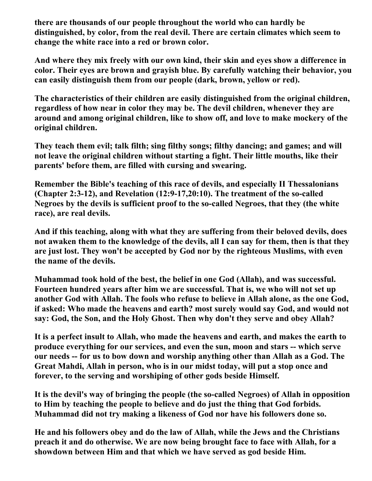**there are thousands of our people throughout the world who can hardly be distinguished, by color, from the real devil. There are certain climates which seem to change the white race into a red or brown color.**

**And where they mix freely with our own kind, their skin and eyes show a difference in color. Their eyes are brown and grayish blue. By carefully watching their behavior, you can easily distinguish them from our people (dark, brown, yellow or red).**

**The characteristics of their children are easily distinguished from the original children, regardless of how near in color they may be. The devil children, whenever they are around and among original children, like to show off, and love to make mockery of the original children.**

**They teach them evil; talk filth; sing filthy songs; filthy dancing; and games; and will not leave the original children without starting a fight. Their little mouths, like their parents' before them, are filled with cursing and swearing.**

**Remember the Bible's teaching of this race of devils, and especially II Thessalonians (Chapter 2:3-12), and Revelation (12:9-17,20:10). The treatment of the so-called Negroes by the devils is sufficient proof to the so-called Negroes, that they (the white race), are real devils.**

**And if this teaching, along with what they are suffering from their beloved devils, does not awaken them to the knowledge of the devils, all I can say for them, then is that they are just lost. They won't be accepted by God nor by the righteous Muslims, with even the name of the devils.**

**Muhammad took hold of the best, the belief in one God (Allah), and was successful. Fourteen hundred years after him we are successful. That is, we who will not set up another God with Allah. The fools who refuse to believe in Allah alone, as the one God, if asked: Who made the heavens and earth? most surely would say God, and would not say: God, the Son, and the Holy Ghost. Then why don't they serve and obey Allah?**

**It is a perfect insult to Allah, who made the heavens and earth, and makes the earth to produce everything for our services, and even the sun, moon and stars -- which serve our needs -- for us to bow down and worship anything other than Allah as a God. The Great Mahdi, Allah in person, who is in our midst today, will put a stop once and forever, to the serving and worshiping of other gods beside Himself.**

**It is the devil's way of bringing the people (the so-called Negroes) of Allah in opposition to Him by teaching the people to believe and do just the thing that God forbids. Muhammad did not try making a likeness of God nor have his followers done so.**

**He and his followers obey and do the law of Allah, while the Jews and the Christians preach it and do otherwise. We are now being brought face to face with Allah, for a showdown between Him and that which we have served as god beside Him.**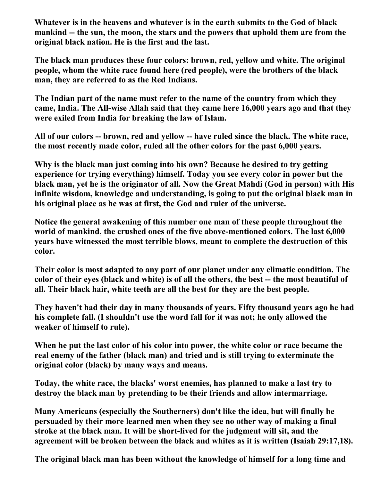**Whatever is in the heavens and whatever is in the earth submits to the God of black mankind -- the sun, the moon, the stars and the powers that uphold them are from the original black nation. He is the first and the last.**

**The black man produces these four colors: brown, red, yellow and white. The original people, whom the white race found here (red people), were the brothers of the black man, they are referred to as the Red Indians.**

**The Indian part of the name must refer to the name of the country from which they came, India. The All-wise Allah said that they came here 16,000 years ago and that they were exiled from India for breaking the law of Islam.**

**All of our colors -- brown, red and yellow -- have ruled since the black. The white race, the most recently made color, ruled all the other colors for the past 6,000 years.**

**Why is the black man just coming into his own? Because he desired to try getting experience (or trying everything) himself. Today you see every color in power but the black man, yet he is the originator of all. Now the Great Mahdi (God in person) with His infinite wisdom, knowledge and understanding, is going to put the original black man in his original place as he was at first, the God and ruler of the universe.**

**Notice the general awakening of this number one man of these people throughout the world of mankind, the crushed ones of the five above-mentioned colors. The last 6,000 years have witnessed the most terrible blows, meant to complete the destruction of this color.**

**Their color is most adapted to any part of our planet under any climatic condition. The color of their eyes (black and white) is of all the others, the best -- the most beautiful of all. Their black hair, white teeth are all the best for they are the best people.**

**They haven't had their day in many thousands of years. Fifty thousand years ago he had his complete fall. (I shouldn't use the word fall for it was not; he only allowed the weaker of himself to rule).**

**When he put the last color of his color into power, the white color or race became the real enemy of the father (black man) and tried and is still trying to exterminate the original color (black) by many ways and means.**

**Today, the white race, the blacks' worst enemies, has planned to make a last try to destroy the black man by pretending to be their friends and allow intermarriage.**

**Many Americans (especially the Southerners) don't like the idea, but will finally be persuaded by their more learned men when they see no other way of making a final stroke at the black man. It will be short-lived for the judgment will sit, and the agreement will be broken between the black and whites as it is written (Isaiah 29:17,18).**

**The original black man has been without the knowledge of himself for a long time and**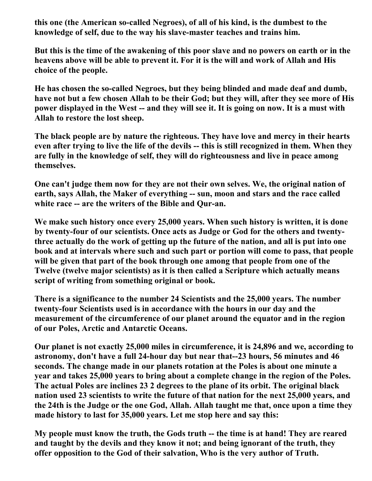**this one (the American so-called Negroes), of all of his kind, is the dumbest to the knowledge of self, due to the way his slave-master teaches and trains him.**

**But this is the time of the awakening of this poor slave and no powers on earth or in the heavens above will be able to prevent it. For it is the will and work of Allah and His choice of the people.**

**He has chosen the so-called Negroes, but they being blinded and made deaf and dumb, have not but a few chosen Allah to be their God; but they will, after they see more of His power displayed in the West -- and they will see it. It is going on now. It is a must with Allah to restore the lost sheep.**

**The black people are by nature the righteous. They have love and mercy in their hearts even after trying to live the life of the devils -- this is still recognized in them. When they are fully in the knowledge of self, they will do righteousness and live in peace among themselves.**

**One can't judge them now for they are not their own selves. We, the original nation of earth, says Allah, the Maker of everything -- sun, moon and stars and the race called white race -- are the writers of the Bible and Qur-an.**

**We make such history once every 25,000 years. When such history is written, it is done by twenty-four of our scientists. Once acts as Judge or God for the others and twentythree actually do the work of getting up the future of the nation, and all is put into one book and at intervals where such and such part or portion will come to pass, that people will be given that part of the book through one among that people from one of the Twelve (twelve major scientists) as it is then called a Scripture which actually means script of writing from something original or book.**

**There is a significance to the number 24 Scientists and the 25,000 years. The number twenty-four Scientists used is in accordance with the hours in our day and the measurement of the circumference of our planet around the equator and in the region of our Poles, Arctic and Antarctic Oceans.**

**Our planet is not exactly 25,000 miles in circumference, it is 24,896 and we, according to astronomy, don't have a full 24-hour day but near that--23 hours, 56 minutes and 46 seconds. The change made in our planets rotation at the Poles is about one minute a year and takes 25,000 years to bring about a complete change in the region of the Poles. The actual Poles are inclines 23 2 degrees to the plane of its orbit. The original black nation used 23 scientists to write the future of that nation for the next 25,000 years, and the 24th is the Judge or the one God, Allah. Allah taught me that, once upon a time they made history to last for 35,000 years. Let me stop here and say this:**

**My people must know the truth, the Gods truth -- the time is at hand! They are reared and taught by the devils and they know it not; and being ignorant of the truth, they offer opposition to the God of their salvation, Who is the very author of Truth.**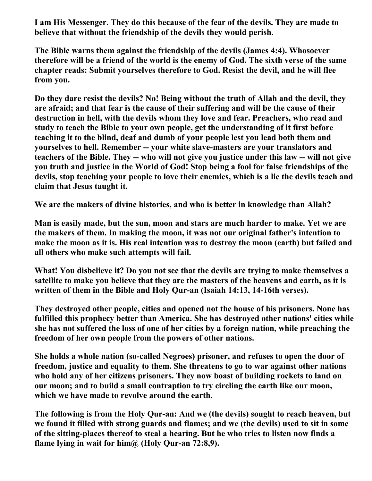**I am His Messenger. They do this because of the fear of the devils. They are made to believe that without the friendship of the devils they would perish.**

**The Bible warns them against the friendship of the devils (James 4:4). Whosoever therefore will be a friend of the world is the enemy of God. The sixth verse of the same chapter reads: Submit yourselves therefore to God. Resist the devil, and he will flee from you.**

**Do they dare resist the devils? No! Being without the truth of Allah and the devil, they are afraid; and that fear is the cause of their suffering and will be the cause of their destruction in hell, with the devils whom they love and fear. Preachers, who read and study to teach the Bible to your own people, get the understanding of it first before teaching it to the blind, deaf and dumb of your people lest you lead both them and yourselves to hell. Remember -- your white slave-masters are your translators and teachers of the Bible. They -- who will not give you justice under this law -- will not give you truth and justice in the World of God! Stop being a fool for false friendships of the devils, stop teaching your people to love their enemies, which is a lie the devils teach and claim that Jesus taught it.**

**We are the makers of divine histories, and who is better in knowledge than Allah?**

**Man is easily made, but the sun, moon and stars are much harder to make. Yet we are the makers of them. In making the moon, it was not our original father's intention to make the moon as it is. His real intention was to destroy the moon (earth) but failed and all others who make such attempts will fail.**

**What! You disbelieve it? Do you not see that the devils are trying to make themselves a satellite to make you believe that they are the masters of the heavens and earth, as it is written of them in the Bible and Holy Qur-an (Isaiah 14:13, 14-16th verses).**

**They destroyed other people, cities and opened not the house of his prisoners. None has fulfilled this prophecy better than America. She has destroyed other nations' cities while she has not suffered the loss of one of her cities by a foreign nation, while preaching the freedom of her own people from the powers of other nations.**

**She holds a whole nation (so-called Negroes) prisoner, and refuses to open the door of freedom, justice and equality to them. She threatens to go to war against other nations who hold any of her citizens prisoners. They now boast of building rockets to land on our moon; and to build a small contraption to try circling the earth like our moon, which we have made to revolve around the earth.**

**The following is from the Holy Qur-an: And we (the devils) sought to reach heaven, but we found it filled with strong guards and flames; and we (the devils) used to sit in some of the sitting-places thereof to steal a hearing. But he who tries to listen now finds a flame lying in wait for him@ (Holy Qur-an 72:8,9).**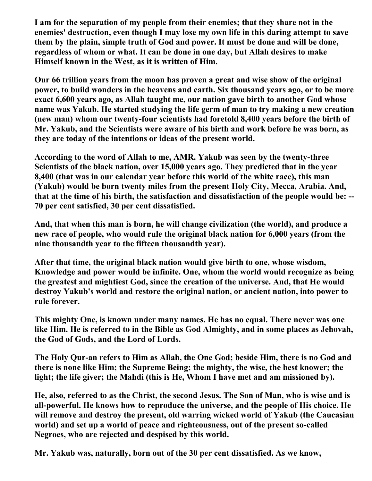**I am for the separation of my people from their enemies; that they share not in the enemies' destruction, even though I may lose my own life in this daring attempt to save them by the plain, simple truth of God and power. It must be done and will be done, regardless of whom or what. It can be done in one day, but Allah desires to make Himself known in the West, as it is written of Him.**

**Our 66 trillion years from the moon has proven a great and wise show of the original power, to build wonders in the heavens and earth. Six thousand years ago, or to be more exact 6,600 years ago, as Allah taught me, our nation gave birth to another God whose name was Yakub. He started studying the life germ of man to try making a new creation (new man) whom our twenty-four scientists had foretold 8,400 years before the birth of Mr. Yakub, and the Scientists were aware of his birth and work before he was born, as they are today of the intentions or ideas of the present world.**

**According to the word of Allah to me, AMR. Yakub was seen by the twenty-three Scientists of the black nation, over 15,000 years ago. They predicted that in the year 8,400 (that was in our calendar year before this world of the white race), this man (Yakub) would be born twenty miles from the present Holy City, Mecca, Arabia. And, that at the time of his birth, the satisfaction and dissatisfaction of the people would be: -- 70 per cent satisfied, 30 per cent dissatisfied.**

**And, that when this man is born, he will change civilization (the world), and produce a new race of people, who would rule the original black nation for 6,000 years (from the nine thousandth year to the fifteen thousandth year).**

**After that time, the original black nation would give birth to one, whose wisdom, Knowledge and power would be infinite. One, whom the world would recognize as being the greatest and mightiest God, since the creation of the universe. And, that He would destroy Yakub's world and restore the original nation, or ancient nation, into power to rule forever.**

**This mighty One, is known under many names. He has no equal. There never was one like Him. He is referred to in the Bible as God Almighty, and in some places as Jehovah, the God of Gods, and the Lord of Lords.**

**The Holy Qur-an refers to Him as Allah, the One God; beside Him, there is no God and there is none like Him; the Supreme Being; the mighty, the wise, the best knower; the light; the life giver; the Mahdi (this is He, Whom I have met and am missioned by).**

**He, also, referred to as the Christ, the second Jesus. The Son of Man, who is wise and is all-powerful. He knows how to reproduce the universe, and the people of His choice. He will remove and destroy the present, old warring wicked world of Yakub (the Caucasian world) and set up a world of peace and righteousness, out of the present so-called Negroes, who are rejected and despised by this world.**

**Mr. Yakub was, naturally, born out of the 30 per cent dissatisfied. As we know,**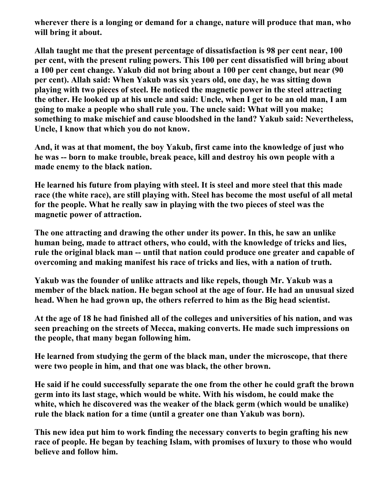**wherever there is a longing or demand for a change, nature will produce that man, who will bring it about.** 

**Allah taught me that the present percentage of dissatisfaction is 98 per cent near, 100 per cent, with the present ruling powers. This 100 per cent dissatisfied will bring about a 100 per cent change. Yakub did not bring about a 100 per cent change, but near (90 per cent). Allah said: When Yakub was six years old, one day, he was sitting down playing with two pieces of steel. He noticed the magnetic power in the steel attracting the other. He looked up at his uncle and said: Uncle, when I get to be an old man, I am going to make a people who shall rule you. The uncle said: What will you make; something to make mischief and cause bloodshed in the land? Yakub said: Nevertheless, Uncle, I know that which you do not know.**

**And, it was at that moment, the boy Yakub, first came into the knowledge of just who he was -- born to make trouble, break peace, kill and destroy his own people with a made enemy to the black nation.**

**He learned his future from playing with steel. It is steel and more steel that this made race (the white race), are still playing with. Steel has become the most useful of all metal for the people. What he really saw in playing with the two pieces of steel was the magnetic power of attraction.**

**The one attracting and drawing the other under its power. In this, he saw an unlike human being, made to attract others, who could, with the knowledge of tricks and lies, rule the original black man -- until that nation could produce one greater and capable of overcoming and making manifest his race of tricks and lies, with a nation of truth.**

**Yakub was the founder of unlike attracts and like repels, though Mr. Yakub was a member of the black nation. He began school at the age of four. He had an unusual sized head. When he had grown up, the others referred to him as the Big head scientist.**

**At the age of 18 he had finished all of the colleges and universities of his nation, and was seen preaching on the streets of Mecca, making converts. He made such impressions on the people, that many began following him.**

**He learned from studying the germ of the black man, under the microscope, that there were two people in him, and that one was black, the other brown.**

**He said if he could successfully separate the one from the other he could graft the brown germ into its last stage, which would be white. With his wisdom, he could make the white, which he discovered was the weaker of the black germ (which would be unalike) rule the black nation for a time (until a greater one than Yakub was born).**

**This new idea put him to work finding the necessary converts to begin grafting his new race of people. He began by teaching Islam, with promises of luxury to those who would believe and follow him.**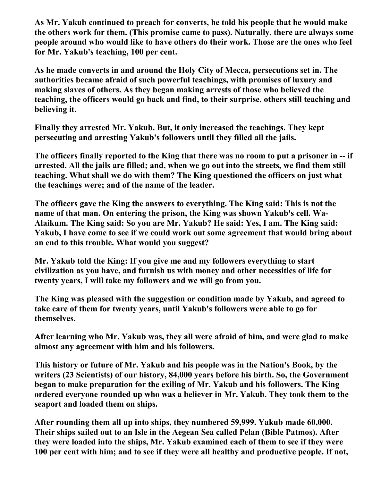**As Mr. Yakub continued to preach for converts, he told his people that he would make the others work for them. (This promise came to pass). Naturally, there are always some people around who would like to have others do their work. Those are the ones who feel for Mr. Yakub's teaching, 100 per cent.**

**As he made converts in and around the Holy City of Mecca, persecutions set in. The authorities became afraid of such powerful teachings, with promises of luxury and making slaves of others. As they began making arrests of those who believed the teaching, the officers would go back and find, to their surprise, others still teaching and believing it.**

**Finally they arrested Mr. Yakub. But, it only increased the teachings. They kept persecuting and arresting Yakub's followers until they filled all the jails.**

**The officers finally reported to the King that there was no room to put a prisoner in -- if arrested. All the jails are filled; and, when we go out into the streets, we find them still teaching. What shall we do with them? The King questioned the officers on just what the teachings were; and of the name of the leader.**

**The officers gave the King the answers to everything. The King said: This is not the name of that man. On entering the prison, the King was shown Yakub's cell. Wa-Alaikum. The King said: So you are Mr. Yakub? He said: Yes, I am. The King said: Yakub, I have come to see if we could work out some agreement that would bring about an end to this trouble. What would you suggest?**

**Mr. Yakub told the King: If you give me and my followers everything to start civilization as you have, and furnish us with money and other necessities of life for twenty years, I will take my followers and we will go from you.**

**The King was pleased with the suggestion or condition made by Yakub, and agreed to take care of them for twenty years, until Yakub's followers were able to go for themselves.**

**After learning who Mr. Yakub was, they all were afraid of him, and were glad to make almost any agreement with him and his followers.**

**This history or future of Mr. Yakub and his people was in the Nation's Book, by the writers (23 Scientists) of our history, 84,000 years before his birth. So, the Government began to make preparation for the exiling of Mr. Yakub and his followers. The King ordered everyone rounded up who was a believer in Mr. Yakub. They took them to the seaport and loaded them on ships.**

**After rounding them all up into ships, they numbered 59,999. Yakub made 60,000. Their ships sailed out to an Isle in the Aegean Sea called Pelan (Bible Patmos). After they were loaded into the ships, Mr. Yakub examined each of them to see if they were 100 per cent with him; and to see if they were all healthy and productive people. If not,**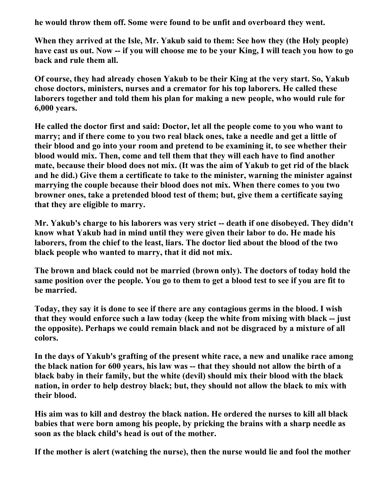**he would throw them off. Some were found to be unfit and overboard they went.**

**When they arrived at the Isle, Mr. Yakub said to them: See how they (the Holy people) have cast us out. Now -- if you will choose me to be your King, I will teach you how to go back and rule them all.**

**Of course, they had already chosen Yakub to be their King at the very start. So, Yakub chose doctors, ministers, nurses and a cremator for his top laborers. He called these laborers together and told them his plan for making a new people, who would rule for 6,000 years.**

**He called the doctor first and said: Doctor, let all the people come to you who want to marry; and if there come to you two real black ones, take a needle and get a little of their blood and go into your room and pretend to be examining it, to see whether their blood would mix. Then, come and tell them that they will each have to find another mate, because their blood does not mix. (It was the aim of Yakub to get rid of the black and he did.) Give them a certificate to take to the minister, warning the minister against marrying the couple because their blood does not mix. When there comes to you two browner ones, take a pretended blood test of them; but, give them a certificate saying that they are eligible to marry.**

**Mr. Yakub's charge to his laborers was very strict -- death if one disobeyed. They didn't know what Yakub had in mind until they were given their labor to do. He made his laborers, from the chief to the least, liars. The doctor lied about the blood of the two black people who wanted to marry, that it did not mix.**

**The brown and black could not be married (brown only). The doctors of today hold the same position over the people. You go to them to get a blood test to see if you are fit to be married.**

**Today, they say it is done to see if there are any contagious germs in the blood. I wish that they would enforce such a law today (keep the white from mixing with black -- just the opposite). Perhaps we could remain black and not be disgraced by a mixture of all colors.**

**In the days of Yakub's grafting of the present white race, a new and unalike race among the black nation for 600 years, his law was -- that they should not allow the birth of a black baby in their family, but the white (devil) should mix their blood with the black nation, in order to help destroy black; but, they should not allow the black to mix with their blood.**

**His aim was to kill and destroy the black nation. He ordered the nurses to kill all black babies that were born among his people, by pricking the brains with a sharp needle as soon as the black child's head is out of the mother.**

**If the mother is alert (watching the nurse), then the nurse would lie and fool the mother**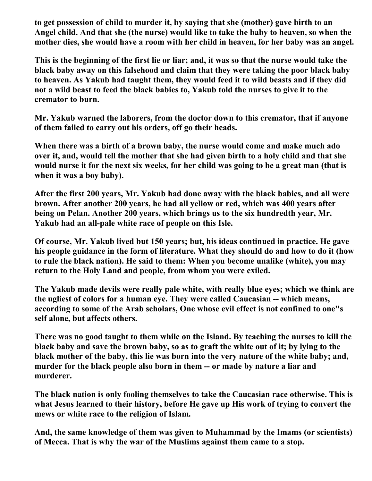**to get possession of child to murder it, by saying that she (mother) gave birth to an Angel child. And that she (the nurse) would like to take the baby to heaven, so when the mother dies, she would have a room with her child in heaven, for her baby was an angel.**

**This is the beginning of the first lie or liar; and, it was so that the nurse would take the black baby away on this falsehood and claim that they were taking the poor black baby to heaven. As Yakub had taught them, they would feed it to wild beasts and if they did not a wild beast to feed the black babies to, Yakub told the nurses to give it to the cremator to burn.**

**Mr. Yakub warned the laborers, from the doctor down to this cremator, that if anyone of them failed to carry out his orders, off go their heads.**

**When there was a birth of a brown baby, the nurse would come and make much ado over it, and, would tell the mother that she had given birth to a holy child and that she would nurse it for the next six weeks, for her child was going to be a great man (that is when it was a boy baby).**

**After the first 200 years, Mr. Yakub had done away with the black babies, and all were brown. After another 200 years, he had all yellow or red, which was 400 years after being on Pelan. Another 200 years, which brings us to the six hundredth year, Mr. Yakub had an all-pale white race of people on this Isle.**

**Of course, Mr. Yakub lived but 150 years; but, his ideas continued in practice. He gave his people guidance in the form of literature. What they should do and how to do it (how to rule the black nation). He said to them: When you become unalike (white), you may return to the Holy Land and people, from whom you were exiled.**

**The Yakub made devils were really pale white, with really blue eyes; which we think are the ugliest of colors for a human eye. They were called Caucasian -- which means, according to some of the Arab scholars, One whose evil effect is not confined to one''s self alone, but affects others.**

**There was no good taught to them while on the Island. By teaching the nurses to kill the black baby and save the brown baby, so as to graft the white out of it; by lying to the black mother of the baby, this lie was born into the very nature of the white baby; and, murder for the black people also born in them -- or made by nature a liar and murderer.**

**The black nation is only fooling themselves to take the Caucasian race otherwise. This is what Jesus learned to their history, before He gave up His work of trying to convert the mews or white race to the religion of Islam.** 

**And, the same knowledge of them was given to Muhammad by the Imams (or scientists) of Mecca. That is why the war of the Muslims against them came to a stop.**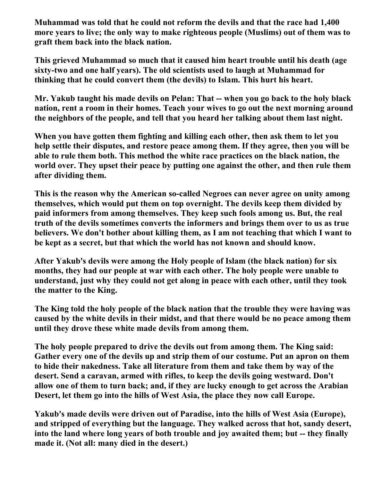**Muhammad was told that he could not reform the devils and that the race had 1,400 more years to live; the only way to make righteous people (Muslims) out of them was to graft them back into the black nation.**

**This grieved Muhammad so much that it caused him heart trouble until his death (age sixty-two and one half years). The old scientists used to laugh at Muhammad for thinking that he could convert them (the devils) to Islam. This hurt his heart.**

**Mr. Yakub taught his made devils on Pelan: That -- when you go back to the holy black nation, rent a room in their homes. Teach your wives to go out the next morning around the neighbors of the people, and tell that you heard her talking about them last night.**

**When you have gotten them fighting and killing each other, then ask them to let you help settle their disputes, and restore peace among them. If they agree, then you will be able to rule them both. This method the white race practices on the black nation, the world over. They upset their peace by putting one against the other, and then rule them after dividing them.**

**This is the reason why the American so-called Negroes can never agree on unity among themselves, which would put them on top overnight. The devils keep them divided by paid informers from among themselves. They keep such fools among us. But, the real truth of the devils sometimes converts the informers and brings them over to us as true believers. We don't bother about killing them, as I am not teaching that which I want to be kept as a secret, but that which the world has not known and should know.**

**After Yakub's devils were among the Holy people of Islam (the black nation) for six months, they had our people at war with each other. The holy people were unable to understand, just why they could not get along in peace with each other, until they took the matter to the King.**

**The King told the holy people of the black nation that the trouble they were having was caused by the white devils in their midst, and that there would be no peace among them until they drove these white made devils from among them.**

**The holy people prepared to drive the devils out from among them. The King said: Gather every one of the devils up and strip them of our costume. Put an apron on them to hide their nakedness. Take all literature from them and take them by way of the desert. Send a caravan, armed with rifles, to keep the devils going westward. Don't allow one of them to turn back; and, if they are lucky enough to get across the Arabian Desert, let them go into the hills of West Asia, the place they now call Europe.**

**Yakub's made devils were driven out of Paradise, into the hills of West Asia (Europe), and stripped of everything but the language. They walked across that hot, sandy desert,**  into the land where long years of both trouble and joy awaited them; but -- they finally **made it. (Not all: many died in the desert.)**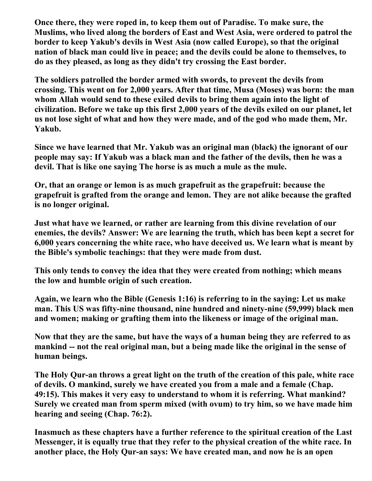**Once there, they were roped in, to keep them out of Paradise. To make sure, the Muslims, who lived along the borders of East and West Asia, were ordered to patrol the border to keep Yakub's devils in West Asia (now called Europe), so that the original nation of black man could live in peace; and the devils could be alone to themselves, to do as they pleased, as long as they didn't try crossing the East border.**

**The soldiers patrolled the border armed with swords, to prevent the devils from crossing. This went on for 2,000 years. After that time, Musa (Moses) was born: the man whom Allah would send to these exiled devils to bring them again into the light of civilization. Before we take up this first 2,000 years of the devils exiled on our planet, let us not lose sight of what and how they were made, and of the god who made them, Mr. Yakub.**

**Since we have learned that Mr. Yakub was an original man (black) the ignorant of our people may say: If Yakub was a black man and the father of the devils, then he was a devil. That is like one saying The horse is as much a mule as the mule.**

**Or, that an orange or lemon is as much grapefruit as the grapefruit: because the grapefruit is grafted from the orange and lemon. They are not alike because the grafted is no longer original.**

**Just what have we learned, or rather are learning from this divine revelation of our enemies, the devils? Answer: We are learning the truth, which has been kept a secret for 6,000 years concerning the white race, who have deceived us. We learn what is meant by the Bible's symbolic teachings: that they were made from dust.**

**This only tends to convey the idea that they were created from nothing; which means the low and humble origin of such creation.**

**Again, we learn who the Bible (Genesis 1:16) is referring to in the saying: Let us make man. This US was fifty-nine thousand, nine hundred and ninety-nine (59,999) black men and women; making or grafting them into the likeness or image of the original man.**

**Now that they are the same, but have the ways of a human being they are referred to as mankind -- not the real original man, but a being made like the original in the sense of human beings.**

**The Holy Qur-an throws a great light on the truth of the creation of this pale, white race of devils. O mankind, surely we have created you from a male and a female (Chap. 49:15). This makes it very easy to understand to whom it is referring. What mankind? Surely we created man from sperm mixed (with ovum) to try him, so we have made him hearing and seeing (Chap. 76:2).**

**Inasmuch as these chapters have a further reference to the spiritual creation of the Last Messenger, it is equally true that they refer to the physical creation of the white race. In another place, the Holy Qur-an says: We have created man, and now he is an open**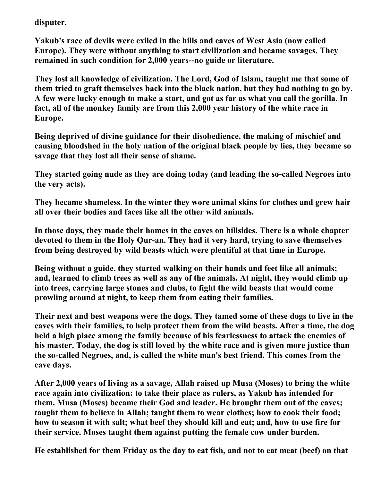**disputer.**

**Yakub's race of devils were exiled in the hills and caves of West Asia (now called Europe). They were without anything to start civilization and became savages. They remained in such condition for 2,000 years--no guide or literature.**

**They lost all knowledge of civilization. The Lord, God of Islam, taught me that some of them tried to graft themselves back into the black nation, but they had nothing to go by. A few were lucky enough to make a start, and got as far as what you call the gorilla. In fact, all of the monkey family are from this 2,000 year history of the white race in Europe.**

**Being deprived of divine guidance for their disobedience, the making of mischief and causing bloodshed in the holy nation of the original black people by lies, they became so savage that they lost all their sense of shame.**

**They started going nude as they are doing today (and leading the so-called Negroes into the very acts).**

**They became shameless. In the winter they wore animal skins for clothes and grew hair all over their bodies and faces like all the other wild animals.**

**In those days, they made their homes in the caves on hillsides. There is a whole chapter devoted to them in the Holy Qur-an. They had it very hard, trying to save themselves from being destroyed by wild beasts which were plentiful at that time in Europe.**

**Being without a guide, they started walking on their hands and feet like all animals; and, learned to climb trees as well as any of the animals. At night, they would climb up into trees, carrying large stones and clubs, to fight the wild beasts that would come prowling around at night, to keep them from eating their families.**

**Their next and best weapons were the dogs. They tamed some of these dogs to live in the caves with their families, to help protect them from the wild beasts. After a time, the dog held a high place among the family because of his fearlessness to attack the enemies of his master. Today, the dog is still loved by the white race and is given more justice than the so-called Negroes, and, is called the white man's best friend. This comes from the cave days.**

**After 2,000 years of living as a savage, Allah raised up Musa (Moses) to bring the white race again into civilization: to take their place as rulers, as Yakub has intended for them. Musa (Moses) became their God and leader. He brought them out of the caves; taught them to believe in Allah; taught them to wear clothes; how to cook their food; how to season it with salt; what beef they should kill and eat; and, how to use fire for their service. Moses taught them against putting the female cow under burden.**

**He established for them Friday as the day to eat fish, and not to eat meat (beef) on that**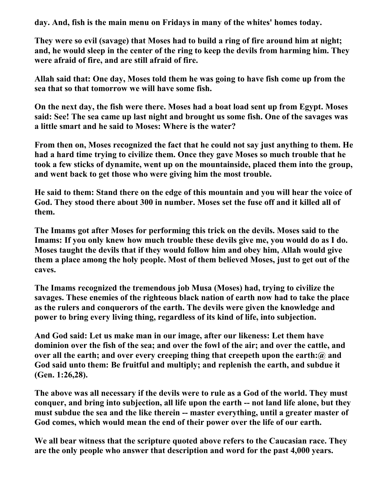**day. And, fish is the main menu on Fridays in many of the whites' homes today.**

**They were so evil (savage) that Moses had to build a ring of fire around him at night; and, he would sleep in the center of the ring to keep the devils from harming him. They were afraid of fire, and are still afraid of fire.**

**Allah said that: One day, Moses told them he was going to have fish come up from the sea that so that tomorrow we will have some fish.**

**On the next day, the fish were there. Moses had a boat load sent up from Egypt. Moses said: See! The sea came up last night and brought us some fish. One of the savages was a little smart and he said to Moses: Where is the water?**

**From then on, Moses recognized the fact that he could not say just anything to them. He had a hard time trying to civilize them. Once they gave Moses so much trouble that he took a few sticks of dynamite, went up on the mountainside, placed them into the group, and went back to get those who were giving him the most trouble.**

**He said to them: Stand there on the edge of this mountain and you will hear the voice of God. They stood there about 300 in number. Moses set the fuse off and it killed all of them.**

**The Imams got after Moses for performing this trick on the devils. Moses said to the Imams: If you only knew how much trouble these devils give me, you would do as I do. Moses taught the devils that if they would follow him and obey him, Allah would give them a place among the holy people. Most of them believed Moses, just to get out of the caves.**

**The Imams recognized the tremendous job Musa (Moses) had, trying to civilize the savages. These enemies of the righteous black nation of earth now had to take the place as the rulers and conquerors of the earth. The devils were given the knowledge and power to bring every living thing, regardless of its kind of life, into subjection.**

**And God said: Let us make man in our image, after our likeness: Let them have dominion over the fish of the sea; and over the fowl of the air; and over the cattle, and over all the earth; and over every creeping thing that creepeth upon the earth:@ and God said unto them: Be fruitful and multiply; and replenish the earth, and subdue it (Gen. 1:26,28).**

**The above was all necessary if the devils were to rule as a God of the world. They must conquer, and bring into subjection, all life upon the earth -- not land life alone, but they must subdue the sea and the like therein -- master everything, until a greater master of God comes, which would mean the end of their power over the life of our earth.**

**We all bear witness that the scripture quoted above refers to the Caucasian race. They are the only people who answer that description and word for the past 4,000 years.**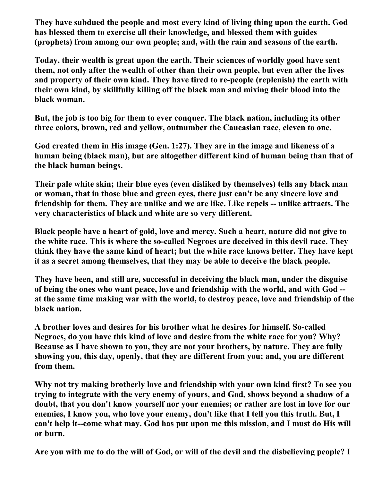**They have subdued the people and most every kind of living thing upon the earth. God has blessed them to exercise all their knowledge, and blessed them with guides (prophets) from among our own people; and, with the rain and seasons of the earth.**

**Today, their wealth is great upon the earth. Their sciences of worldly good have sent them, not only after the wealth of other than their own people, but even after the lives and property of their own kind. They have tired to re-people (replenish) the earth with their own kind, by skillfully killing off the black man and mixing their blood into the black woman.**

**But, the job is too big for them to ever conquer. The black nation, including its other three colors, brown, red and yellow, outnumber the Caucasian race, eleven to one.**

**God created them in His image (Gen. 1:27). They are in the image and likeness of a human being (black man), but are altogether different kind of human being than that of the black human beings.**

**Their pale white skin; their blue eyes (even disliked by themselves) tells any black man or woman, that in those blue and green eyes, there just can't be any sincere love and friendship for them. They are unlike and we are like. Like repels -- unlike attracts. The very characteristics of black and white are so very different.**

**Black people have a heart of gold, love and mercy. Such a heart, nature did not give to the white race. This is where the so-called Negroes are deceived in this devil race. They think they have the same kind of heart; but the white race knows better. They have kept it as a secret among themselves, that they may be able to deceive the black people.**

**They have been, and still are, successful in deceiving the black man, under the disguise of being the ones who want peace, love and friendship with the world, and with God - at the same time making war with the world, to destroy peace, love and friendship of the black nation.**

**A brother loves and desires for his brother what he desires for himself. So-called Negroes, do you have this kind of love and desire from the white race for you? Why? Because as I have shown to you, they are not your brothers, by nature. They are fully showing you, this day, openly, that they are different from you; and, you are different from them.**

**Why not try making brotherly love and friendship with your own kind first? To see you trying to integrate with the very enemy of yours, and God, shows beyond a shadow of a doubt, that you don't know yourself nor your enemies; or rather are lost in love for our enemies, I know you, who love your enemy, don't like that I tell you this truth. But, I can't help it--come what may. God has put upon me this mission, and I must do His will or burn.**

**Are you with me to do the will of God, or will of the devil and the disbelieving people? I**